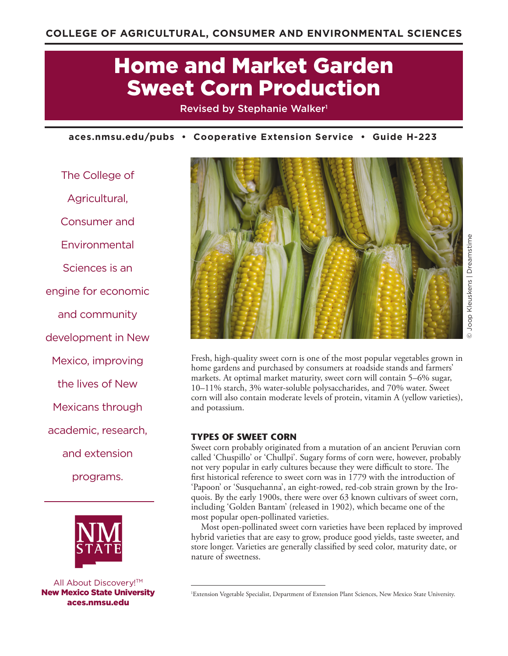# Home and Market Garden Sweet Corn Production

Revised by Stephanie Walker<sup>1</sup>

**aces.nmsu.edu/pubs • Cooperative Extension Service • Guide H-223**

The College of Agricultural, Consumer and Environmental Sciences is an engine for economic and community development in New Mexico, improving the lives of New Mexicans through academic, research, and extension programs.



All About Discovery!<sup>™</sup> New Mexico State University aces.nmsu.edu



Joop Kleuskens | Dreamstime © Joop Kleuskens | Dreamstime

Fresh, high-quality sweet corn is one of the most popular vegetables grown in home gardens and purchased by consumers at roadside stands and farmers' markets. At optimal market maturity, sweet corn will contain 5–6% sugar, 10–11% starch, 3% water-soluble polysaccharides, and 70% water. Sweet corn will also contain moderate levels of protein, vitamin A (yellow varieties), and potassium.

# **TYPES OF SWEET CORN**

Sweet corn probably originated from a mutation of an ancient Peruvian corn called 'Chuspillo' or 'Chullpi'. Sugary forms of corn were, however, probably not very popular in early cultures because they were difficult to store. The first historical reference to sweet corn was in 1779 with the introduction of 'Papoon' or 'Susquehanna', an eight-rowed, red-cob strain grown by the Iroquois. By the early 1900s, there were over 63 known cultivars of sweet corn, including 'Golden Bantam' (released in 1902), which became one of the most popular open-pollinated varieties.

Most open-pollinated sweet corn varieties have been replaced by improved hybrid varieties that are easy to grow, produce good yields, taste sweeter, and store longer. Varieties are generally classified by seed color, maturity date, or nature of sweetness.

<sup>1</sup> Extension Vegetable Specialist, Department of Extension Plant Sciences, New Mexico State University.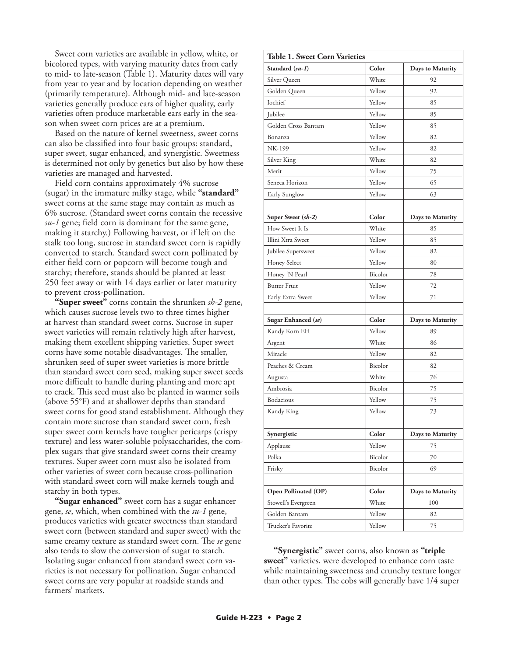Sweet corn varieties are available in yellow, white, or bicolored types, with varying maturity dates from early to mid- to late-season (Table 1). Maturity dates will vary from year to year and by location depending on weather (primarily temperature). Although mid- and late-season varieties generally produce ears of higher quality, early varieties often produce marketable ears early in the season when sweet corn prices are at a premium.

Based on the nature of kernel sweetness, sweet corns can also be classified into four basic groups: standard, super sweet, sugar enhanced, and synergistic. Sweetness is determined not only by genetics but also by how these varieties are managed and harvested.

Field corn contains approximately 4% sucrose (sugar) in the immature milky stage, while **"standard"** sweet corns at the same stage may contain as much as 6% sucrose. (Standard sweet corns contain the recessive *su-1* gene; field corn is dominant for the same gene, making it starchy.) Following harvest, or if left on the stalk too long, sucrose in standard sweet corn is rapidly converted to starch. Standard sweet corn pollinated by either field corn or popcorn will become tough and starchy; therefore, stands should be planted at least 250 feet away or with 14 days earlier or later maturity to prevent cross-pollination.

**"Super sweet"** corns contain the shrunken *sh-2* gene, which causes sucrose levels two to three times higher at harvest than standard sweet corns. Sucrose in super sweet varieties will remain relatively high after harvest, making them excellent shipping varieties. Super sweet corns have some notable disadvantages. The smaller, shrunken seed of super sweet varieties is more brittle than standard sweet corn seed, making super sweet seeds more difficult to handle during planting and more apt to crack. This seed must also be planted in warmer soils (above 55°F) and at shallower depths than standard sweet corns for good stand establishment. Although they contain more sucrose than standard sweet corn, fresh super sweet corn kernels have tougher pericarps (crispy texture) and less water-soluble polysaccharides, the complex sugars that give standard sweet corns their creamy textures. Super sweet corn must also be isolated from other varieties of sweet corn because cross-pollination with standard sweet corn will make kernels tough and starchy in both types.

**"Sugar enhanced"** sweet corn has a sugar enhancer gene, *se*, which, when combined with the *su-1* gene, produces varieties with greater sweetness than standard sweet corn (between standard and super sweet) with the same creamy texture as standard sweet corn. The *se* gene also tends to slow the conversion of sugar to starch. Isolating sugar enhanced from standard sweet corn varieties is not necessary for pollination. Sugar enhanced sweet corns are very popular at roadside stands and farmers' markets.

| <b>Table 1. Sweet Corn Varieties</b> |         |                         |
|--------------------------------------|---------|-------------------------|
| Standard (su-1)                      | Color   | <b>Days to Maturity</b> |
| Silver Queen                         | White   | 92                      |
| Golden Queen                         | Yellow  | 92                      |
| Iochief                              | Yellow  | 85                      |
| Jubilee                              | Yellow  | 85                      |
| Golden Cross Bantam                  | Yellow  | 85                      |
| Bonanza                              | Yellow  | 82                      |
| NK-199                               | Yellow  | 82                      |
| Silver King                          | White   | 82                      |
| Merit                                | Yellow  | 75                      |
| Seneca Horizon                       | Yellow  | 65                      |
| Early Sunglow                        | Yellow  | 63                      |
|                                      |         |                         |
| Super Sweet (sh-2)                   | Color   | <b>Days to Maturity</b> |
| How Sweet It Is                      | White   | 85                      |
| Illini Xtra Sweet                    | Yellow  | 85                      |
| Jubilee Supersweet                   | Yellow  | 82                      |
| <b>Honey Select</b>                  | Yellow  | 80                      |
| Honey 'N Pearl                       | Bicolor | 78                      |
| <b>Butter Fruit</b>                  | Yellow  | 72                      |
| Early Extra Sweet                    | Yellow  | 71                      |
|                                      |         |                         |
| Sugar Enhanced (se)                  | Color   | <b>Days to Maturity</b> |
| Kandy Korn EH                        | Yellow  | 89                      |
| Argent                               | White   | 86                      |
| Miracle                              | Yellow  | 82                      |
| Peaches & Cream                      | Bicolor | 82                      |
| Augusta                              | White   | 76                      |
| Ambrosia                             | Bicolor | 75                      |
| Bodacious                            | Yellow  | 75                      |
| Kandy King                           | Yellow  | 73                      |
|                                      |         |                         |
| Synergistic                          | Color   | <b>Days to Maturity</b> |
| Applause                             | Yellow  | 75                      |
| Polka                                | Bicolor | 70                      |
| Frisky                               | Bicolor | 69                      |
|                                      |         |                         |
| Open Pollinated (OP)                 | Color   | <b>Days to Maturity</b> |
| Stowell's Evergreen                  | White   | 100                     |
| Golden Bantam                        | Yellow  | 82                      |
| Trucker's Favorite                   | Yellow  | 75                      |

**"Synergistic"** sweet corns, also known as **"triple sweet"** varieties, were developed to enhance corn taste while maintaining sweetness and crunchy texture longer than other types. The cobs will generally have 1/4 super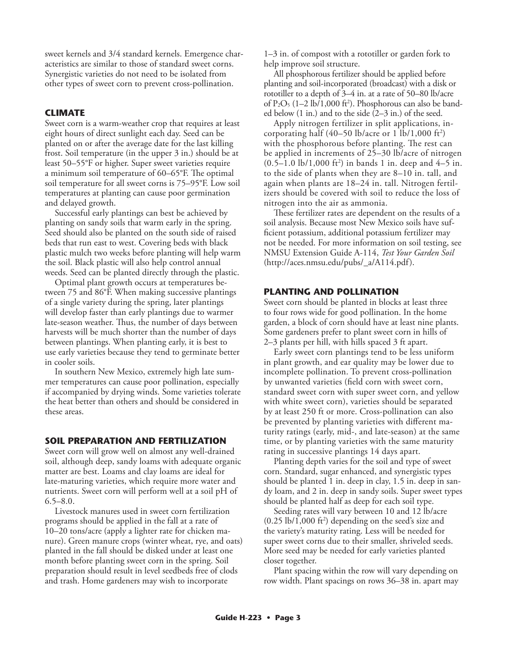sweet kernels and 3/4 standard kernels. Emergence characteristics are similar to those of standard sweet corns. Synergistic varieties do not need to be isolated from other types of sweet corn to prevent cross-pollination.

## **CLIMATE**

Sweet corn is a warm-weather crop that requires at least eight hours of direct sunlight each day. Seed can be planted on or after the average date for the last killing frost. Soil temperature (in the upper 3 in.) should be at least 50–55°F or higher. Super sweet varieties require a minimum soil temperature of 60–65°F. The optimal soil temperature for all sweet corns is 75–95°F. Low soil temperatures at planting can cause poor germination and delayed growth.

Successful early plantings can best be achieved by planting on sandy soils that warm early in the spring. Seed should also be planted on the south side of raised beds that run east to west. Covering beds with black plastic mulch two weeks before planting will help warm the soil. Black plastic will also help control annual weeds. Seed can be planted directly through the plastic.

Optimal plant growth occurs at temperatures between 75 and 86°F. When making successive plantings of a single variety during the spring, later plantings will develop faster than early plantings due to warmer late-season weather. Thus, the number of days between harvests will be much shorter than the number of days between plantings. When planting early, it is best to use early varieties because they tend to germinate better in cooler soils.

In southern New Mexico, extremely high late summer temperatures can cause poor pollination, especially if accompanied by drying winds. Some varieties tolerate the heat better than others and should be considered in these areas.

#### **SOIL PREPARATION AND FERTILIZATION**

Sweet corn will grow well on almost any well-drained soil, although deep, sandy loams with adequate organic matter are best. Loams and clay loams are ideal for late-maturing varieties, which require more water and nutrients. Sweet corn will perform well at a soil pH of  $6.5 - 8.0.$ 

Livestock manures used in sweet corn fertilization programs should be applied in the fall at a rate of 10–20 tons/acre (apply a lighter rate for chicken manure). Green manure crops (winter wheat, rye, and oats) planted in the fall should be disked under at least one month before planting sweet corn in the spring. Soil preparation should result in level seedbeds free of clods and trash. Home gardeners may wish to incorporate

1–3 in. of compost with a rototiller or garden fork to help improve soil structure.

All phosphorous fertilizer should be applied before planting and soil-incorporated (broadcast) with a disk or rototiller to a depth of 3–4 in. at a rate of 50–80 lb/acre of  $P_2O_5$  (1–2 lb/1,000 ft<sup>2</sup>). Phosphorous can also be banded below (1 in.) and to the side (2–3 in.) of the seed.

Apply nitrogen fertilizer in split applications, incorporating half (40–50 lb/acre or 1 lb/1,000 ft2 ) with the phosphorous before planting. The rest can be applied in increments of 25–30 lb/acre of nitrogen  $(0.5-1.0 \text{ lb}/1,000 \text{ ft}^2)$  in bands 1 in. deep and 4–5 in. to the side of plants when they are 8–10 in. tall, and again when plants are 18–24 in. tall. Nitrogen fertilizers should be covered with soil to reduce the loss of nitrogen into the air as ammonia.

These fertilizer rates are dependent on the results of a soil analysis. Because most New Mexico soils have sufficient potassium, additional potassium fertilizer may not be needed. For more information on soil testing, see NMSU Extension Guide A-114, *Test Your Garden Soil*  (http://aces.nmsu.edu/pubs/\_a/A114.pdf).

## **PLANTING AND POLLINATION**

Sweet corn should be planted in blocks at least three to four rows wide for good pollination. In the home garden, a block of corn should have at least nine plants. Some gardeners prefer to plant sweet corn in hills of 2–3 plants per hill, with hills spaced 3 ft apart.

Early sweet corn plantings tend to be less uniform in plant growth, and ear quality may be lower due to incomplete pollination. To prevent cross-pollination by unwanted varieties (field corn with sweet corn, standard sweet corn with super sweet corn, and yellow with white sweet corn), varieties should be separated by at least 250 ft or more. Cross-pollination can also be prevented by planting varieties with different maturity ratings (early, mid-, and late-season) at the same time, or by planting varieties with the same maturity rating in successive plantings 14 days apart.

Planting depth varies for the soil and type of sweet corn. Standard, sugar enhanced, and synergistic types should be planted 1 in. deep in clay, 1.5 in. deep in sandy loam, and 2 in. deep in sandy soils. Super sweet types should be planted half as deep for each soil type.

Seeding rates will vary between 10 and 12 lb/acre  $(0.25 \text{ lb}/1,000 \text{ ft}^2)$  depending on the seed's size and the variety's maturity rating. Less will be needed for super sweet corns due to their smaller, shriveled seeds. More seed may be needed for early varieties planted closer together.

Plant spacing within the row will vary depending on row width. Plant spacings on rows 36–38 in. apart may